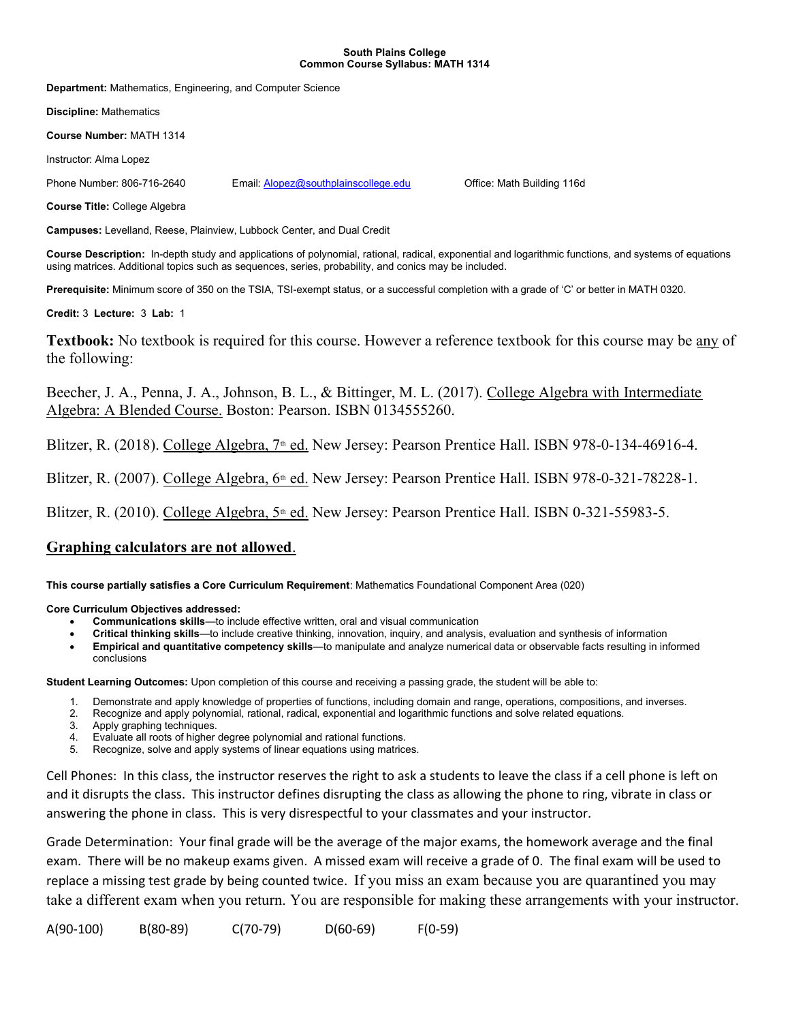## South Plains College Common Course Syllabus: MATH 1314

Department: Mathematics, Engineering, and Computer Science

Discipline: Mathematics

Course Number: MATH 1314

Instructor: Alma Lopez

Phone Number: 806-716-2640 Email: Alopez@southplainscollege.edu Office: Math Building 116d

Course Title: College Algebra

Campuses: Levelland, Reese, Plainview, Lubbock Center, and Dual Credit

Course Description: In-depth study and applications of polynomial, rational, radical, exponential and logarithmic functions, and systems of equations using matrices. Additional topics such as sequences, series, probability, and conics may be included.

Prerequisite: Minimum score of 350 on the TSIA, TSI-exempt status, or a successful completion with a grade of 'C' or better in MATH 0320.

Credit: 3 Lecture: 3 Lab: 1

Textbook: No textbook is required for this course. However a reference textbook for this course may be any of the following:

Beecher, J. A., Penna, J. A., Johnson, B. L., & Bittinger, M. L. (2017). College Algebra with Intermediate Algebra: A Blended Course. Boston: Pearson. ISBN 0134555260.

Blitzer, R. (2018). College Algebra,  $7<sup>th</sup>$  ed. New Jersey: Pearson Prentice Hall. ISBN 978-0-134-46916-4.

Blitzer, R. (2007). College Algebra,  $6<sup>th</sup>$  ed. New Jersey: Pearson Prentice Hall. ISBN 978-0-321-78228-1.

Blitzer, R. (2010). College Algebra,  $5<sup>th</sup>$  ed. New Jersey: Pearson Prentice Hall. ISBN 0-321-55983-5.

## Graphing calculators are not allowed.

This course partially satisfies a Core Curriculum Requirement: Mathematics Foundational Component Area (020)

Core Curriculum Objectives addressed:

- Communications skills—to include effective written, oral and visual communication
- Critical thinking skills—to include creative thinking, innovation, inquiry, and analysis, evaluation and synthesis of information
- Empirical and quantitative competency skills—to manipulate and analyze numerical data or observable facts resulting in informed conclusions

Student Learning Outcomes: Upon completion of this course and receiving a passing grade, the student will be able to:

- 1. Demonstrate and apply knowledge of properties of functions, including domain and range, operations, compositions, and inverses.
- 2. Recognize and apply polynomial, rational, radical, exponential and logarithmic functions and solve related equations.
- 3. Apply graphing techniques.
- 4. Evaluate all roots of higher degree polynomial and rational functions.
- 5. Recognize, solve and apply systems of linear equations using matrices.

Cell Phones: In this class, the instructor reserves the right to ask a students to leave the class if a cell phone is left on and it disrupts the class. This instructor defines disrupting the class as allowing the phone to ring, vibrate in class or answering the phone in class. This is very disrespectful to your classmates and your instructor.

Grade Determination: Your final grade will be the average of the major exams, the homework average and the final exam. There will be no makeup exams given. A missed exam will receive a grade of 0. The final exam will be used to replace a missing test grade by being counted twice. If you miss an exam because you are quarantined you may take a different exam when you return. You are responsible for making these arrangements with your instructor.

A(90-100) B(80-89) C(70-79) D(60-69) F(0-59)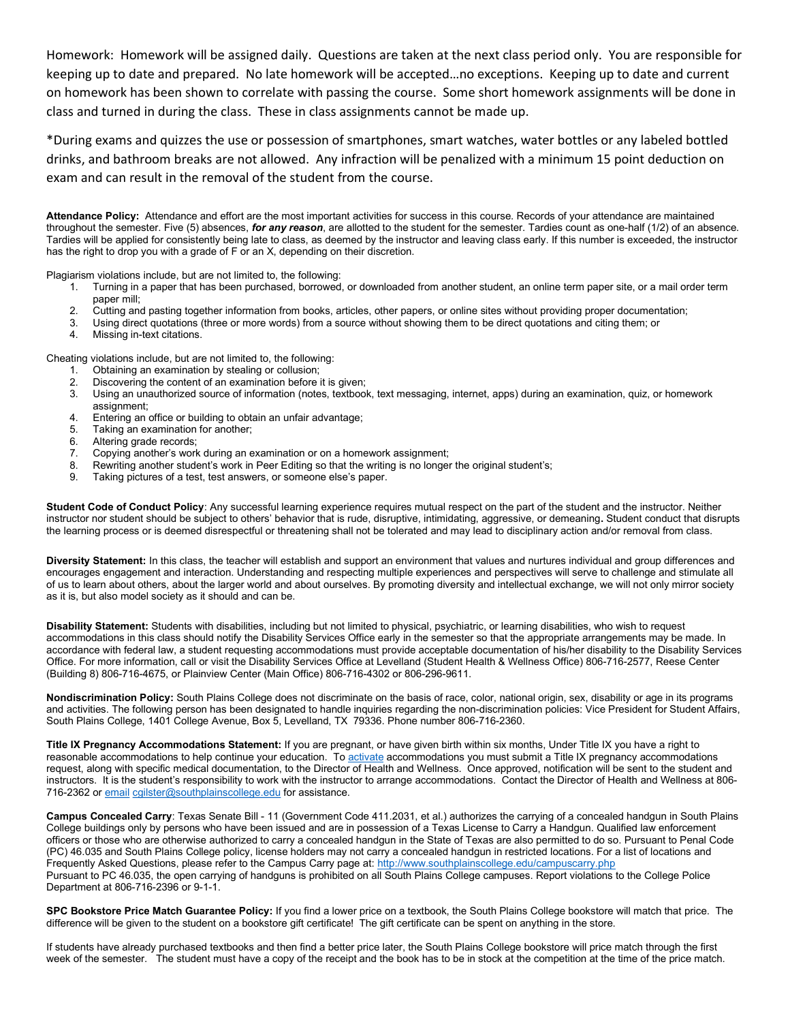Homework: Homework will be assigned daily. Questions are taken at the next class period only. You are responsible for keeping up to date and prepared. No late homework will be accepted…no exceptions. Keeping up to date and current on homework has been shown to correlate with passing the course. Some short homework assignments will be done in class and turned in during the class. These in class assignments cannot be made up.

\*During exams and quizzes the use or possession of smartphones, smart watches, water bottles or any labeled bottled drinks, and bathroom breaks are not allowed. Any infraction will be penalized with a minimum 15 point deduction on exam and can result in the removal of the student from the course.

Attendance Policy: Attendance and effort are the most important activities for success in this course. Records of your attendance are maintained throughout the semester. Five (5) absences, for any reason, are allotted to the student for the semester. Tardies count as one-half (1/2) of an absence. Tardies will be applied for consistently being late to class, as deemed by the instructor and leaving class early. If this number is exceeded, the instructor has the right to drop you with a grade of F or an X, depending on their discretion.

Plagiarism violations include, but are not limited to, the following:

- 1. Turning in a paper that has been purchased, borrowed, or downloaded from another student, an online term paper site, or a mail order term paper mill;
- 2. Cutting and pasting together information from books, articles, other papers, or online sites without providing proper documentation;
- 3. Using direct quotations (three or more words) from a source without showing them to be direct quotations and citing them; or
- 4. Missing in-text citations.

Cheating violations include, but are not limited to, the following:

- 1. Obtaining an examination by stealing or collusion;
- 2. Discovering the content of an examination before it is given;
- 3. Using an unauthorized source of information (notes, textbook, text messaging, internet, apps) during an examination, quiz, or homework assignment;
- 4. Entering an office or building to obtain an unfair advantage;
- 5. Taking an examination for another;
- 6. Altering grade records;
- 7. Copying another's work during an examination or on a homework assignment;<br>8. Rewriting another student's work in Peer Editing so that the writing is no longer
- Rewriting another student's work in Peer Editing so that the writing is no longer the original student's;
- 9. Taking pictures of a test, test answers, or someone else's paper.

Student Code of Conduct Policy: Any successful learning experience requires mutual respect on the part of the student and the instructor. Neither instructor nor student should be subject to others' behavior that is rude, disruptive, intimidating, aggressive, or demeaning. Student conduct that disrupts the learning process or is deemed disrespectful or threatening shall not be tolerated and may lead to disciplinary action and/or removal from class.

Diversity Statement: In this class, the teacher will establish and support an environment that values and nurtures individual and group differences and encourages engagement and interaction. Understanding and respecting multiple experiences and perspectives will serve to challenge and stimulate all of us to learn about others, about the larger world and about ourselves. By promoting diversity and intellectual exchange, we will not only mirror society as it is, but also model society as it should and can be.

Disability Statement: Students with disabilities, including but not limited to physical, psychiatric, or learning disabilities, who wish to request accommodations in this class should notify the Disability Services Office early in the semester so that the appropriate arrangements may be made. In accordance with federal law, a student requesting accommodations must provide acceptable documentation of his/her disability to the Disability Services Office. For more information, call or visit the Disability Services Office at Levelland (Student Health & Wellness Office) 806-716-2577, Reese Center (Building 8) 806-716-4675, or Plainview Center (Main Office) 806-716-4302 or 806-296-9611.

Nondiscrimination Policy: South Plains College does not discriminate on the basis of race, color, national origin, sex, disability or age in its programs and activities. The following person has been designated to handle inquiries regarding the non-discrimination policies: Vice President for Student Affairs, South Plains College, 1401 College Avenue, Box 5, Levelland, TX 79336. Phone number 806-716-2360.

Title IX Pregnancy Accommodations Statement: If you are pregnant, or have given birth within six months, Under Title IX you have a right to reasonable accommodations to help continue your education. To activate accommodations you must submit a Title IX pregnancy accommodations request, along with specific medical documentation, to the Director of Health and Wellness. Once approved, notification will be sent to the student and instructors. It is the student's responsibility to work with the instructor to arrange accommodations. Contact the Director of Health and Wellness at 806- 716-2362 or email cgilster@southplainscollege.edu for assistance.

Campus Concealed Carry: Texas Senate Bill - 11 (Government Code 411.2031, et al.) authorizes the carrying of a concealed handgun in South Plains College buildings only by persons who have been issued and are in possession of a Texas License to Carry a Handgun. Qualified law enforcement officers or those who are otherwise authorized to carry a concealed handgun in the State of Texas are also permitted to do so. Pursuant to Penal Code (PC) 46.035 and South Plains College policy, license holders may not carry a concealed handgun in restricted locations. For a list of locations and Frequently Asked Questions, please refer to the Campus Carry page at: http://www.southplainscollege.edu/campuscarry.php Pursuant to PC 46.035, the open carrying of handguns is prohibited on all South Plains College campuses. Report violations to the College Police Department at 806-716-2396 or 9-1-1.

SPC Bookstore Price Match Guarantee Policy: If you find a lower price on a textbook, the South Plains College bookstore will match that price. The difference will be given to the student on a bookstore gift certificate! The gift certificate can be spent on anything in the store.

If students have already purchased textbooks and then find a better price later, the South Plains College bookstore will price match through the first week of the semester. The student must have a copy of the receipt and the book has to be in stock at the competition at the time of the price match.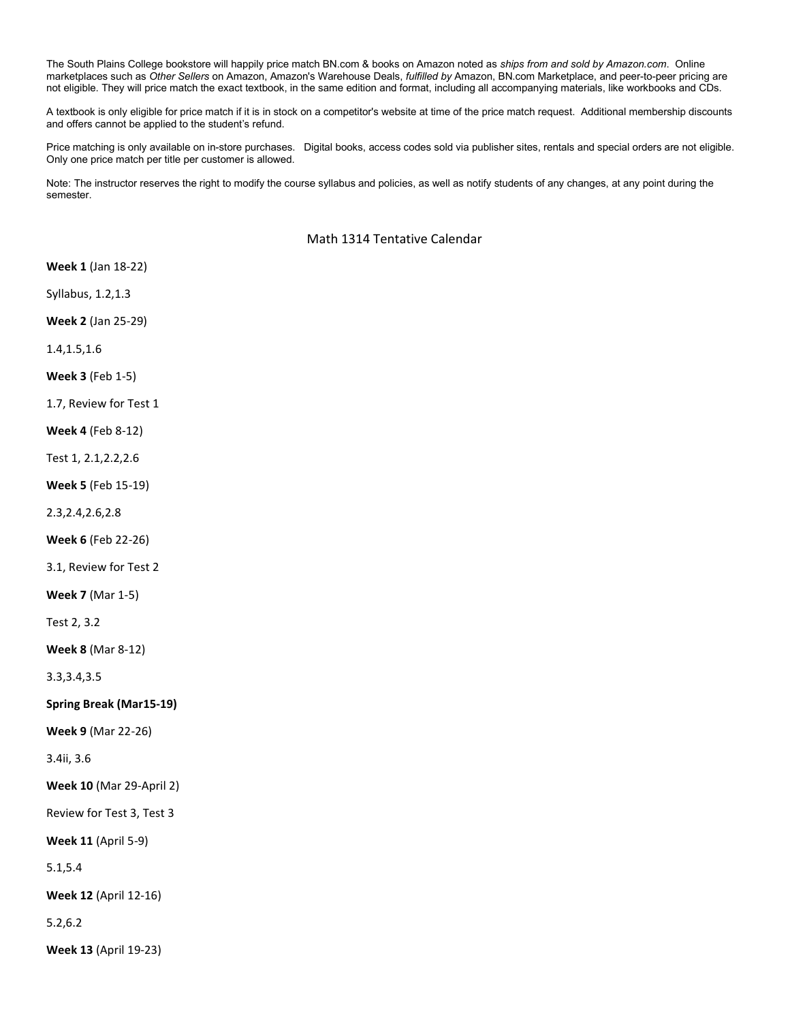The South Plains College bookstore will happily price match BN.com & books on Amazon noted as ships from and sold by Amazon.com. Online marketplaces such as Other Sellers on Amazon, Amazon's Warehouse Deals, fulfilled by Amazon, BN.com Marketplace, and peer-to-peer pricing are not eligible. They will price match the exact textbook, in the same edition and format, including all accompanying materials, like workbooks and CDs.

A textbook is only eligible for price match if it is in stock on a competitor's website at time of the price match request. Additional membership discounts and offers cannot be applied to the student's refund.

Price matching is only available on in-store purchases. Digital books, access codes sold via publisher sites, rentals and special orders are not eligible. Only one price match per title per customer is allowed.

Note: The instructor reserves the right to modify the course syllabus and policies, as well as notify students of any changes, at any point during the semester.

Math 1314 Tentative Calendar

Week 1 (Jan 18-22)

Syllabus, 1.2,1.3

Week 2 (Jan 25-29)

1.4,1.5,1.6

Week 3 (Feb 1-5)

1.7, Review for Test 1

Week 4 (Feb 8-12)

Test 1, 2.1,2.2,2.6

Week 5 (Feb 15-19)

2.3,2.4,2.6,2.8

Week 6 (Feb 22-26)

3.1, Review for Test 2

Week 7 (Mar 1-5)

Test 2, 3.2

Week 8 (Mar 8-12)

3.3,3.4,3.5

Spring Break (Mar15-19)

Week 9 (Mar 22-26)

3.4ii, 3.6

Week 10 (Mar 29-April 2)

Review for Test 3, Test 3

Week 11 (April 5-9)

5.1,5.4

Week 12 (April 12-16)

5.2,6.2

Week 13 (April 19-23)